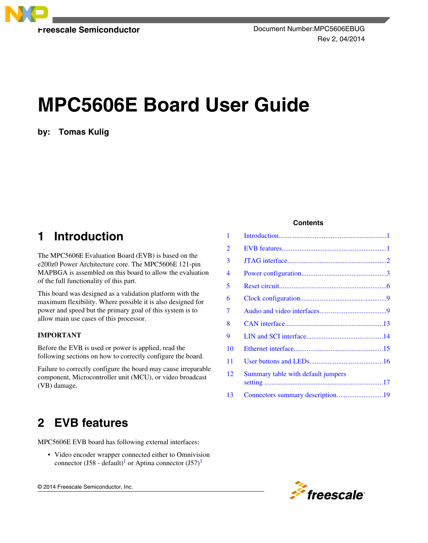

# **MPC5606E Board User Guide**

**by: Tomas Kulig**

## **1 Introduction**

The MPC5606E Evaluation Board (EVB) is based on the e200z0 Power Architecture core. The MPC5606E 121-pin MAPBGA is assembled on this board to allow the evaluation of the full functionality of this part.

This board was designed as a validation platform with the maximum flexibility. Where possible it is also designed for power and speed but the primary goal of this system is to allow main use cases of this processor.

### **IMPORTANT**

Before the EVB is used or power is applied, read the following sections on how to correctly configure the board.

Failure to correctly configure the board may cause irreparable component, Microcontroller unit (MCU), or video broadcast (VB) damage.

## **2 EVB features**

MPC5606E EVB board has following external interfaces:

• Video encoder wrapper connected either to Omnivision connector (J58 - default)<sup>[1](#page-1-0)</sup> or Aptina connector (J57)<sup>1</sup>

© 2014 Freescale Semiconductor, Inc.

#### **Contents**

| 1              |                                    |  |
|----------------|------------------------------------|--|
| $\overline{2}$ |                                    |  |
| 3              |                                    |  |
| 4              |                                    |  |
| 5              |                                    |  |
| 6              |                                    |  |
| 7              |                                    |  |
| 8              |                                    |  |
| 9              |                                    |  |
| 10             |                                    |  |
| 11             |                                    |  |
| 12             | Summary table with default jumpers |  |
| 13             | Connectors summary description19   |  |

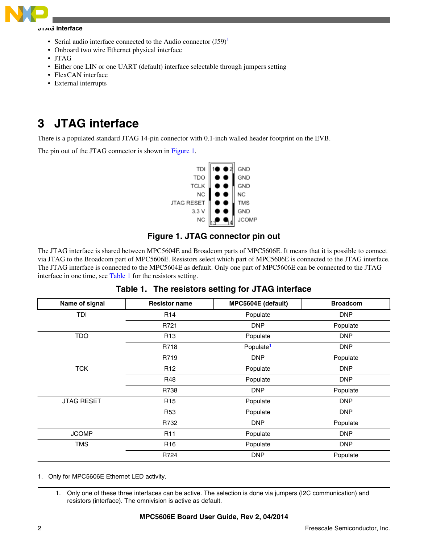<span id="page-1-0"></span>

#### **JTAG interface**

- Serial audio interface connected to the Audio connector  $(J59)^1$
- Onboard two wire Ethernet physical interface
- JTAG
- Either one LIN or one UART (default) interface selectable through jumpers setting
- FlexCAN interface
- External interrupts

## **3 JTAG interface**

There is a populated standard JTAG 14-pin connector with 0.1-inch walled header footprint on the EVB.

The pin out of the JTAG connector is shown in Figure 1.



### **Figure 1. JTAG connector pin out**

The JTAG interface is shared between MPC5604E and Broadcom parts of MPC5606E. It means that it is possible to connect via JTAG to the Broadcom part of MPC5606E. Resistors select which part of MPC5606E is connected to the JTAG interface. The JTAG interface is connected to the MPC5604E as default. Only one part of MPC5606E can be connected to the JTAG interface in one time, see Table 1 for the resistors setting.

| Name of signal    | <b>Resistor name</b> | MPC5604E (default)    | <b>Broadcom</b> |
|-------------------|----------------------|-----------------------|-----------------|
| TDI               | R <sub>14</sub>      | Populate              | <b>DNP</b>      |
|                   | R721                 | <b>DNP</b>            | Populate        |
| <b>TDO</b>        | R <sub>13</sub>      | Populate              | <b>DNP</b>      |
|                   | R718                 | Populate <sup>1</sup> | <b>DNP</b>      |
|                   | R719                 | <b>DNP</b>            | Populate        |
| <b>TCK</b>        | R <sub>12</sub>      | Populate              | <b>DNP</b>      |
|                   | R48                  | Populate              | <b>DNP</b>      |
|                   | R738                 | <b>DNP</b>            | Populate        |
| <b>JTAG RESET</b> | R <sub>15</sub>      | Populate              | <b>DNP</b>      |
|                   | <b>R53</b>           | Populate              | <b>DNP</b>      |
|                   | R732                 | <b>DNP</b>            | Populate        |
| <b>JCOMP</b>      | <b>R11</b>           | Populate              | <b>DNP</b>      |
| <b>TMS</b>        | R <sub>16</sub>      | Populate              | <b>DNP</b>      |
|                   | R724                 | <b>DNP</b>            | Populate        |

**Table 1. The resistors setting for JTAG interface**

- 1. Only for MPC5606E Ethernet LED activity.
	- 1. Only one of these three interfaces can be active. The selection is done via jumpers (I2C communication) and resistors (interface). The omnivision is active as default.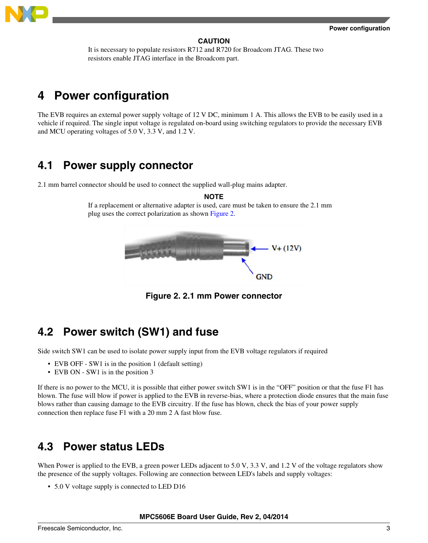<span id="page-2-0"></span>

#### **CAUTION**

It is necessary to populate resistors R712 and R720 for Broadcom JTAG. These two resistors enable JTAG interface in the Broadcom part.

## **4 Power configuration**

The EVB requires an external power supply voltage of 12 V DC, minimum 1 A. This allows the EVB to be easily used in a vehicle if required. The single input voltage is regulated on-board using switching regulators to provide the necessary EVB and MCU operating voltages of 5.0 V, 3.3 V, and 1.2 V.

## **4.1 Power supply connector**

2.1 mm barrel connector should be used to connect the supplied wall-plug mains adapter.

**NOTE**

If a replacement or alternative adapter is used, care must be taken to ensure the 2.1 mm plug uses the correct polarization as shown Figure 2.



**Figure 2. 2.1 mm Power connector**

## **4.2 Power switch (SW1) and fuse**

Side switch SW1 can be used to isolate power supply input from the EVB voltage regulators if required

- EVB OFF SW1 is in the position 1 (default setting)
- EVB ON SW1 is in the position 3

If there is no power to the MCU, it is possible that either power switch SW1 is in the "OFF" position or that the fuse F1 has blown. The fuse will blow if power is applied to the EVB in reverse-bias, where a protection diode ensures that the main fuse blows rather than causing damage to the EVB circuitry. If the fuse has blown, check the bias of your power supply connection then replace fuse F1 with a 20 mm 2 A fast blow fuse.

## **4.3 Power status LEDs**

When Power is applied to the EVB, a green power LEDs adjacent to 5.0 V, 3.3 V, and 1.2 V of the voltage regulators show the presence of the supply voltages. Following are connection between LED's labels and supply voltages:

• 5.0 V voltage supply is connected to LED D16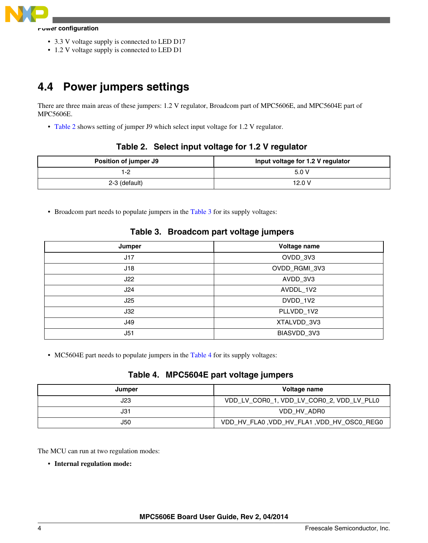

#### **Power configuration**

- 3.3 V voltage supply is connected to LED D17
- 1.2 V voltage supply is connected to LED D1

## **4.4 Power jumpers settings**

There are three main areas of these jumpers: 1.2 V regulator, Broadcom part of MPC5606E, and MPC5604E part of MPC5606E.

• Table 2 shows setting of jumper J9 which select input voltage for 1.2 V regulator.

#### **Table 2. Select input voltage for 1.2 V regulator**

| Position of jumper J9 | Input voltage for 1.2 V regulator |
|-----------------------|-----------------------------------|
|                       | 5.0V                              |
| 2-3 (default)         | 12.0 V                            |

• Broadcom part needs to populate jumpers in the Table 3 for its supply voltages:

| Jumper | Voltage name  |
|--------|---------------|
| J17    | OVDD_3V3      |
| J18    | OVDD_RGMI_3V3 |
| J22    | AVDD_3V3      |
| J24    | AVDDL_1V2     |
| J25    | DVDD_1V2      |
| J32    | PLLVDD_1V2    |
| J49    | XTALVDD_3V3   |
| J51    | BIASVDD_3V3   |

#### **Table 3. Broadcom part voltage jumpers**

• MC5604E part needs to populate jumpers in the Table 4 for its supply voltages:

### **Table 4. MPC5604E part voltage jumpers**

| Jumper | Voltage name                               |
|--------|--------------------------------------------|
| J23    | VDD_LV_COR0_1, VDD_LV_COR0_2, VDD_LV_PLL0  |
| J31    | VDD HV ADR0                                |
| J50    | VDD_HV_FLA0, VDD_HV_FLA1, VDD_HV_OSC0_REG0 |

The MCU can run at two regulation modes:

• **Internal regulation mode:**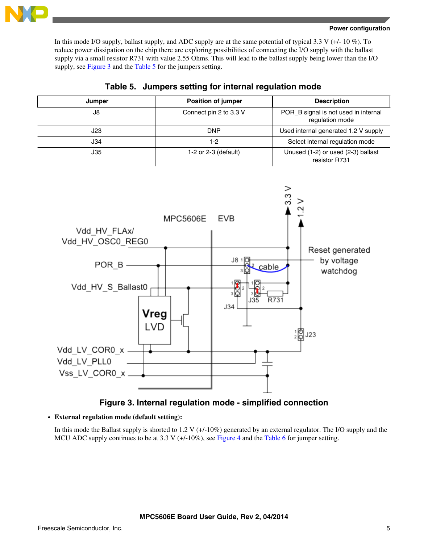

#### **Power configuration**

In this mode I/O supply, ballast supply, and ADC supply are at the same potential of typical 3.3 V (+/- 10 %). To reduce power dissipation on the chip there are exploring possibilities of connecting the I/O supply with the ballast supply via a small resistor R731 with value 2.55 Ohms. This will lead to the ballast supply being lower than the I/O supply, see Figure 3 and the Table 5 for the jumpers setting.

| Jumper | <b>Position of jumper</b> | <b>Description</b>                                      |
|--------|---------------------------|---------------------------------------------------------|
| J8     | Connect pin 2 to 3.3 V    | POR_B signal is not used in internal<br>regulation mode |
| J23    | <b>DNP</b>                | Used internal generated 1.2 V supply                    |
| J34    | 1-2                       | Select internal regulation mode                         |
| J35    | 1-2 or $2-3$ (default)    | Unused (1-2) or used (2-3) ballast<br>resistor R731     |

### **Table 5. Jumpers setting for internal regulation mode**



### **Figure 3. Internal regulation mode - simplified connection**

• **External regulation mode (default setting):**

In this mode the Ballast supply is shorted to 1.2 V  $(+/-10\%)$  generated by an external regulator. The I/O supply and the MCU ADC supply continues to be at 3.3 V  $(+/10\%)$ , see [Figure 4](#page-5-0) and the [Table 6](#page-5-0) for jumper setting.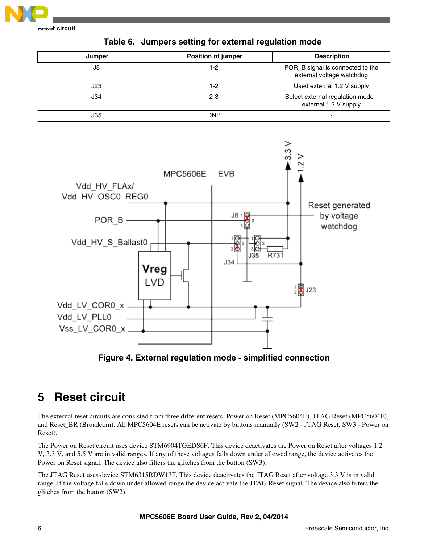<span id="page-5-0"></span>

**Reset circuit**

| rable 0. Udilipers setting for external regulation inoue |                           |                                                               |  |  |
|----------------------------------------------------------|---------------------------|---------------------------------------------------------------|--|--|
| Jumper                                                   | <b>Position of jumper</b> | <b>Description</b>                                            |  |  |
| J8                                                       | 1-2                       | POR_B signal is connected to the<br>external voltage watchdog |  |  |
| J23                                                      | 1-2                       | Used external 1.2 V supply                                    |  |  |

J35 DNP -

J34 2-3 Select external regulation mode -

external 1.2 V supply

**Table 6. Jumpers setting for external regulation mode**



**Figure 4. External regulation mode - simplified connection**

## **5 Reset circuit**

The external reset circuits are consisted from three different resets. Power on Reset (MPC5604E), JTAG Reset (MPC5604E), and Reset\_BR (Broadcom). All MPC5604E resets can be activate by buttons manually (SW2 - JTAG Reset, SW3 - Power on Reset).

The Power on Reset circuit uses device STM6904TGEDS6F. This device deactivates the Power on Reset after voltages 1.2 V, 3.3 V, and 5.5 V are in valid ranges. If any of these voltages falls down under allowed range, the device activates the Power on Reset signal. The device also filters the glitches from the button (SW3).

The JTAG Reset uses device STM6315RDW13F. This device deactivates the JTAG Reset after voltage 3.3 V is in valid range. If the voltage falls down under allowed range the device activate the JTAG Reset signal. The device also filters the glitches from the button (SW2).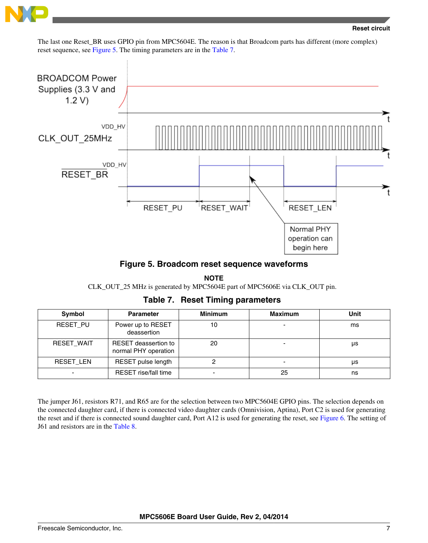

The last one Reset\_BR uses GPIO pin from MPC5604E. The reason is that Broadcom parts has different (more complex) reset sequence, see Figure 5. The timing parameters are in the Table 7.



**Figure 5. Broadcom reset sequence waveforms**

**NOTE** CLK\_OUT\_25 MHz is generated by MPC5604E part of MPC5606E via CLK\_OUT pin.

**Table 7. Reset Timing parameters**

| Symbol            | <b>Parameter</b>                             | <b>Minimum</b>           | <b>Maximum</b>           | Unit |
|-------------------|----------------------------------------------|--------------------------|--------------------------|------|
| RESET PU          | Power up to RESET<br>deassertion             | 10                       | $\overline{\phantom{0}}$ | ms   |
| <b>RESET WAIT</b> | RESET deassertion to<br>normal PHY operation | 20                       | $\overline{\phantom{0}}$ | μs   |
| RESET LEN         | RESET pulse length                           |                          | $\overline{\phantom{0}}$ | μs   |
|                   | <b>RESET</b> rise/fall time                  | $\overline{\phantom{0}}$ | 25                       | ns   |

The jumper J61, resistors R71, and R65 are for the selection between two MPC5604E GPIO pins. The selection depends on the connected daughter card, if there is connected video daughter cards (Omnivision, Aptina), Port C2 is used for generating the reset and if there is connected sound daughter card, Port A12 is used for generating the reset, see [Figure 6.](#page-7-0) The setting of J61 and resistors are in the [Table 8](#page-7-0).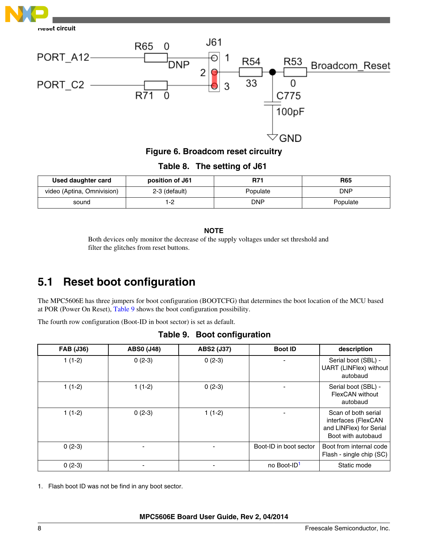<span id="page-7-0"></span>



**Figure 6. Broadcom reset circuitry**

**Table 8. The setting of J61**

| Used daughter card         | position of J61 | R71        | <b>R65</b> |
|----------------------------|-----------------|------------|------------|
| video (Aptina, Omnivision) | 2-3 (default)   | Populate   | DNP        |
| sound                      | -2              | <b>DNP</b> | Populate   |

### **NOTE**

Both devices only monitor the decrease of the supply voltages under set threshold and filter the glitches from reset buttons.

## **5.1 Reset boot configuration**

The MPC5606E has three jumpers for boot configuration (BOOTCFG) that determines the boot location of the MCU based at POR (Power On Reset), Table 9 shows the boot configuration possibility.

The fourth row configuration (Boot-ID in boot sector) is set as default.

| <b>FAB (J36)</b> | <b>ABS0 (J48)</b> | ABS2 (J37) | <b>Boot ID</b>          | description                                                                                 |
|------------------|-------------------|------------|-------------------------|---------------------------------------------------------------------------------------------|
| $1(1-2)$         | $0(2-3)$          | $0(2-3)$   |                         | Serial boot (SBL) -<br>UART (LINFlex) without<br>autobaud                                   |
| $1(1-2)$         | $1(1-2)$          | $0(2-3)$   |                         | Serial boot (SBL) -<br>FlexCAN without<br>autobaud                                          |
| $1(1-2)$         | $0(2-3)$          | $1(1-2)$   |                         | Scan of both serial<br>interfaces (FlexCAN<br>and LINFlex) for Serial<br>Boot with autobaud |
| $0(2-3)$         |                   |            | Boot-ID in boot sector  | Boot from internal code<br>Flash - single chip (SC)                                         |
| $0(2-3)$         |                   |            | no Boot-ID <sup>1</sup> | Static mode                                                                                 |

**Table 9. Boot configuration**

1. Flash boot ID was not be find in any boot sector.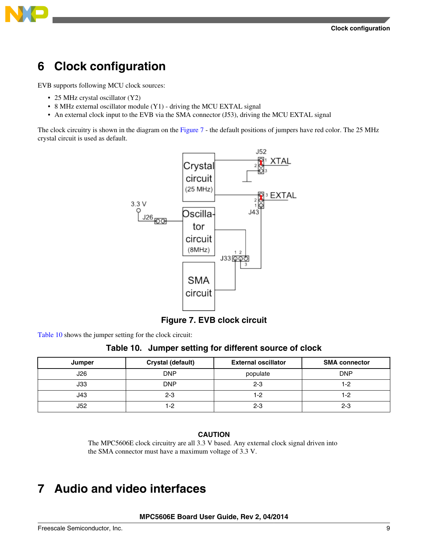

<span id="page-8-0"></span>

## **6 Clock configuration**

EVB supports following MCU clock sources:

- 25 MHz crystal oscillator (Y2)
- 8 MHz external oscillator module (Y1) driving the MCU EXTAL signal
- An external clock input to the EVB via the SMA connector (J53), driving the MCU EXTAL signal

The clock circuitry is shown in the diagram on the Figure 7 - the default positions of jumpers have red color. The 25 MHz crystal circuit is used as default.



**Figure 7. EVB clock circuit**

Table 10 shows the jumper setting for the clock circuit:

### **Table 10. Jumper setting for different source of clock**

| Jumper | Crystal (default) | <b>External oscillator</b> | <b>SMA connector</b> |
|--------|-------------------|----------------------------|----------------------|
| J26    | <b>DNP</b>        | populate                   | <b>DNP</b>           |
| J33    | <b>DNP</b>        | $2 - 3$                    |                      |
| J43    | $2 - 3$           | 1-2                        | 1-2                  |
| J52    | 1-2               | $2 - 3$                    | $2 - 3$              |

#### **CAUTION**

The MPC5606E clock circuitry are all 3.3 V based. Any external clock signal driven into the SMA connector must have a maximum voltage of 3.3 V.

## **7 Audio and video interfaces**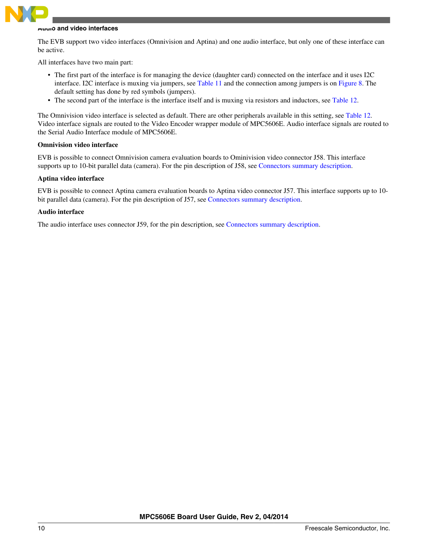

#### **Audio and video interfaces**

The EVB support two video interfaces (Omnivision and Aptina) and one audio interface, but only one of these interface can be active.

All interfaces have two main part:

- The first part of the interface is for managing the device (daughter card) connected on the interface and it uses I2C interface. I2C interface is muxing via jumpers, see [Table 11](#page-10-0) and the connection among jumpers is on [Figure 8.](#page-10-0) The default setting has done by red symbols (jumpers).
- The second part of the interface is the interface itself and is muxing via resistors and inductors, see [Table 12.](#page-11-0)

The Omnivision video interface is selected as default. There are other peripherals available in this setting, see [Table 12](#page-11-0). Video interface signals are routed to the Video Encoder wrapper module of MPC5606E. Audio interface signals are routed to the Serial Audio Interface module of MPC5606E.

#### **Omnivision video interface**

EVB is possible to connect Omnivision camera evaluation boards to Ominivision video connector J58. This interface supports up to 10-bit parallel data (camera). For the pin description of J58, see [Connectors summary description](#page-18-0).

#### **Aptina video interface**

EVB is possible to connect Aptina camera evaluation boards to Aptina video connector J57. This interface supports up to 10 bit parallel data (camera). For the pin description of J57, see [Connectors summary description.](#page-18-0)

#### **Audio interface**

The audio interface uses connector J59, for the pin description, see [Connectors summary description.](#page-18-0)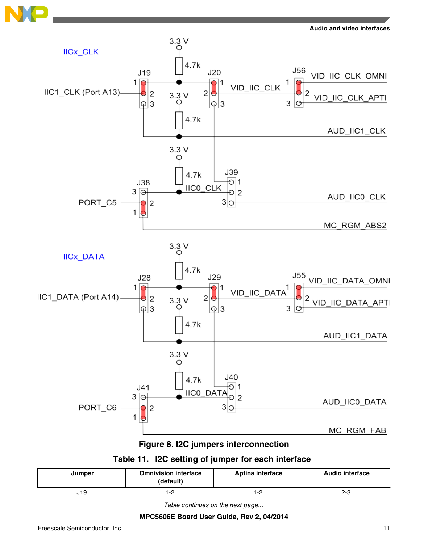<span id="page-10-0"></span>



**Figure 8. I2C jumpers interconnection**

## **Table 11. I2C setting of jumper for each interface**

| Jumper | <b>Omnivision interface</b><br>(default) | Aptina interface | <b>Audio interface</b> |
|--------|------------------------------------------|------------------|------------------------|
| 19،    | 1-2                                      | י -<br>ے- ا      | 2-3                    |

*Table continues on the next page...*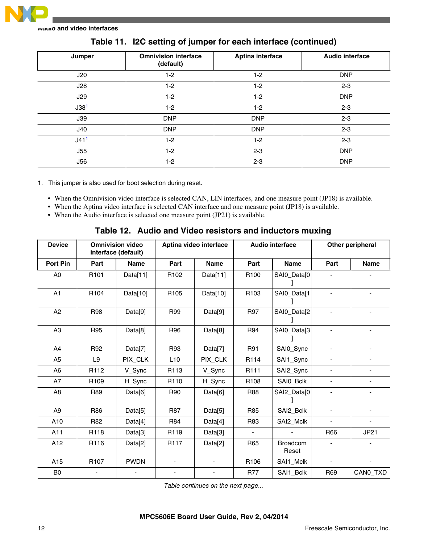<span id="page-11-0"></span>

**Audio and video interfaces**

| Jumper           | <b>Omnivision interface</b><br>(default) | Aptina interface | <b>Audio interface</b> |
|------------------|------------------------------------------|------------------|------------------------|
| J20              | $1-2$                                    | $1-2$            | <b>DNP</b>             |
| J28              | $1-2$                                    | $1-2$            | $2 - 3$                |
| J29              | $1-2$                                    | $1 - 2$          | <b>DNP</b>             |
| J38 <sup>1</sup> | $1-2$                                    | $1 - 2$          | $2 - 3$                |
| J39              | <b>DNP</b>                               | <b>DNP</b>       | $2 - 3$                |
| J40              | <b>DNP</b>                               | <b>DNP</b>       | $2 - 3$                |
| J41 <sup>1</sup> | $1-2$                                    | $1 - 2$          | $2 - 3$                |
| J55              | $1-2$                                    | $2 - 3$          | <b>DNP</b>             |
| <b>J56</b>       | $1-2$                                    | $2 - 3$          | <b>DNP</b>             |

### **Table 11. I2C setting of jumper for each interface (continued)**

1. This jumper is also used for boot selection during reset.

- When the Omnivision video interface is selected CAN, LIN interfaces, and one measure point (JP18) is available.
- When the Aptina video interface is selected CAN interface and one measure point (JP18) is available.
- When the Audio interface is selected one measure point (JP21) is available.

### **Table 12. Audio and Video resistors and inductors muxing**

| <b>Device</b>   |                  | <b>Omnivision video</b><br>interface (default) |                  | Aptina video interface   |                  | <b>Audio interface</b>   |                          | Other peripheral         |
|-----------------|------------------|------------------------------------------------|------------------|--------------------------|------------------|--------------------------|--------------------------|--------------------------|
| <b>Port Pin</b> | Part             | <b>Name</b>                                    | Part             | <b>Name</b>              | Part             | <b>Name</b>              | Part                     | <b>Name</b>              |
| A <sub>0</sub>  | R101             | Data[11]                                       | R <sub>102</sub> | Data[11]                 | R <sub>100</sub> | SAI0_Data[0              |                          |                          |
| A1              | R <sub>104</sub> | Data[10]                                       | R105             | Data[10]                 | R103             | SAI0_Data[1              |                          |                          |
| A2              | <b>R98</b>       | Data[9]                                        | R99              | Data[9]                  | R97              | SAI0_Data[2              |                          |                          |
| A <sub>3</sub>  | <b>R95</b>       | Data[8]                                        | R96              | Data[8]                  | R94              | SAI0_Data[3              |                          |                          |
| A4              | R92              | Data[7]                                        | R93              | Data[7]                  | R91              | SAI0_Sync                |                          |                          |
| A <sub>5</sub>  | L <sub>9</sub>   | PIX_CLK                                        | L10              | PIX_CLK                  | R114             | SAI1_Sync                | ÷,                       |                          |
| A <sub>6</sub>  | R <sub>112</sub> | V_Sync                                         | R <sub>113</sub> | V_Sync                   | R <sub>111</sub> | SAI2_Sync                |                          |                          |
| A7              | R <sub>109</sub> | H_Sync                                         | R <sub>110</sub> | H_Sync                   | R <sub>108</sub> | SAI0_Bclk                | $\overline{\phantom{0}}$ | $\overline{\phantom{a}}$ |
| A <sub>8</sub>  | R89              | Data[6]                                        | R90              | Data[6]                  | R88              | SAI2_Data[0              |                          |                          |
| A <sub>9</sub>  | R86              | Data[5]                                        | <b>R87</b>       | Data[5]                  | R85              | SAI2_Bclk                | $\overline{\phantom{0}}$ |                          |
| A10             | R82              | Data[4]                                        | <b>R84</b>       | Data[4]                  | R83              | SAI2_Mclk                |                          |                          |
| A11             | R118             | Data[3]                                        | R <sub>119</sub> | Data[3]                  |                  |                          | R66                      | JP21                     |
| A12             | R116             | Data[2]                                        | R <sub>117</sub> | Data[2]                  | R65              | <b>Broadcom</b><br>Reset |                          |                          |
| A15             | R <sub>107</sub> | <b>PWDN</b>                                    | $\blacksquare$   | $\overline{\phantom{0}}$ | R106             | SAI1_Mclk                | $\blacksquare$           | ÷,                       |
| B <sub>0</sub>  |                  |                                                |                  |                          | <b>R77</b>       | SAI1_Bclk                | R69                      | CANO_TXD                 |

*Table continues on the next page...*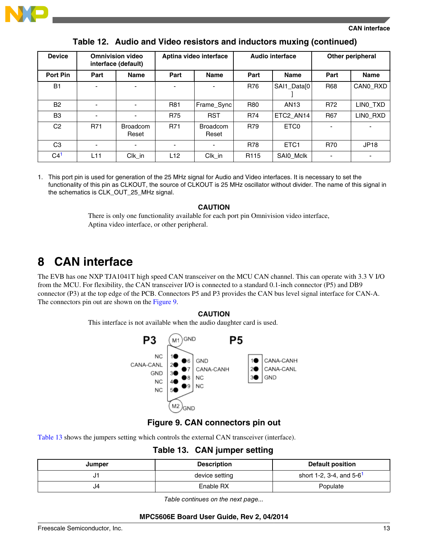<span id="page-12-0"></span>

#### **CAN interface**

| <b>Device</b>  |                          | <b>Omnivision video</b><br>interface (default) |            | Aptina video interface   |                  | <b>Audio interface</b> |                | Other peripheral         |
|----------------|--------------------------|------------------------------------------------|------------|--------------------------|------------------|------------------------|----------------|--------------------------|
| Port Pin       | Part                     | <b>Name</b>                                    | Part       | <b>Name</b>              | Part             | <b>Name</b>            | Part           | <b>Name</b>              |
| <b>B1</b>      |                          |                                                |            |                          | R76              | SAI1_Data[0            | <b>R68</b>     | CANO RXD                 |
| <b>B2</b>      | $\overline{\phantom{0}}$ | $\blacksquare$                                 | <b>R81</b> | Frame_Sync               | <b>R80</b>       | AN <sub>13</sub>       | R72            | LINO TXD                 |
| B <sub>3</sub> | $\overline{\phantom{a}}$ | $\overline{\phantom{0}}$                       | <b>R75</b> | <b>RST</b>               | R74              | ETC2 AN14              | <b>R67</b>     | LINO_RXD                 |
| C <sub>2</sub> | <b>R71</b>               | <b>Broadcom</b><br>Reset                       | <b>R71</b> | <b>Broadcom</b><br>Reset | R79              | ETC <sub>0</sub>       | $\blacksquare$ | $\overline{\phantom{0}}$ |
| C <sub>3</sub> | $\overline{\phantom{0}}$ |                                                |            |                          | <b>R78</b>       | ETC <sub>1</sub>       | <b>R70</b>     | <b>JP18</b>              |
| C <sup>1</sup> | L11                      | $Clk$ _in                                      | L12        | Clk_in                   | R <sub>115</sub> | SAI0_Mclk              | ٠              | ٠                        |

**Table 12. Audio and Video resistors and inductors muxing (continued)**

1. This port pin is used for generation of the 25 MHz signal for Audio and Video interfaces. It is necessary to set the functionality of this pin as CLKOUT, the source of CLKOUT is 25 MHz oscillator without divider. The name of this signal in the schematics is CLK\_OUT\_25\_MHz signal.

#### **CAUTION**

There is only one functionality available for each port pin Omnivision video interface, Aptina video interface, or other peripheral.

## **8 CAN interface**

The EVB has one NXP TJA1041T high speed CAN transceiver on the MCU CAN channel. This can operate with 3.3 V I/O from the MCU. For flexibility, the CAN transceiver I/O is connected to a standard 0.1-inch connector (P5) and DB9 connector (P3) at the top edge of the PCB. Connectors P5 and P3 provides the CAN bus level signal interface for CAN-A. The connectors pin out are shown on the Figure 9.

#### **CAUTION**

This interface is not available when the audio daughter card is used.



### **Figure 9. CAN connectors pin out**

Table 13 shows the jumpers setting which controls the external CAN transceiver (interface).

**Table 13. CAN jumper setting**

| Jumper | <b>Description</b> | <b>Default position</b>                |
|--------|--------------------|----------------------------------------|
| ال     | device setting     | short 1-2, 3-4, and $5-6$ <sup>1</sup> |
| J4     | Enable RX          | Populate                               |

*Table continues on the next page...*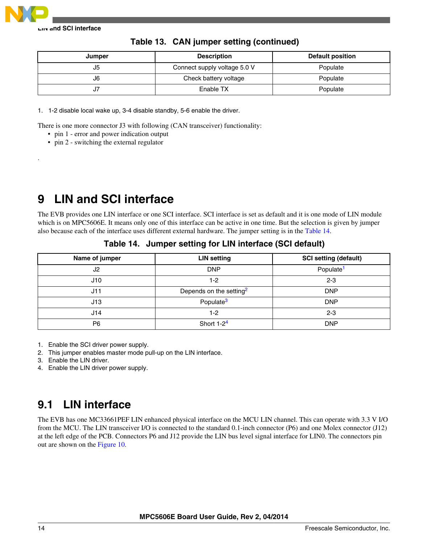<span id="page-13-0"></span>

.

**LIN and SCI interface**

| Jumper | <b>Description</b>           | Default position |
|--------|------------------------------|------------------|
| J5     | Connect supply voltage 5.0 V | Populate         |
| J6     | Check battery voltage        | Populate         |
| J7     | Enable TX                    | Populate         |

**Table 13. CAN jumper setting (continued)**

1. 1-2 disable local wake up, 3-4 disable standby, 5-6 enable the driver.

There is one more connector J3 with following (CAN transceiver) functionality:

- pin 1 error and power indication output
- pin 2 switching the external regulator

## **9 LIN and SCI interface**

The EVB provides one LIN interface or one SCI interface. SCI interface is set as default and it is one mode of LIN module which is on MPC5606E. It means only one of this interface can be active in one time. But the selection is given by jumper also because each of the interface uses different external hardware. The jumper setting is in the Table 14.

| Name of jumper | <b>LIN setting</b>                  | <b>SCI setting (default)</b> |
|----------------|-------------------------------------|------------------------------|
| J2             | <b>DNP</b>                          | Populate <sup>1</sup>        |
| J10            | 1-2                                 | $2 - 3$                      |
| J11            | Depends on the setting <sup>2</sup> | <b>DNP</b>                   |
| J13            | Populate <sup>3</sup>               | <b>DNP</b>                   |
| J14            | 1-2                                 | $2 - 3$                      |
| P <sub>6</sub> | Short $1-24$                        | <b>DNP</b>                   |

**Table 14. Jumper setting for LIN interface (SCI default)**

1. Enable the SCI driver power supply.

2. This jumper enables master mode pull-up on the LIN interface.

3. Enable the LIN driver.

4. Enable the LIN driver power supply.

## **9.1 LIN interface**

The EVB has one MC33661PEF LIN enhanced physical interface on the MCU LIN channel. This can operate with 3.3 V I/O from the MCU. The LIN transceiver I/O is connected to the standard 0.1-inch connector (P6) and one Molex connector (J12) at the left edge of the PCB. Connectors P6 and J12 provide the LIN bus level signal interface for LIN0. The connectors pin out are shown on the [Figure 10](#page-14-0).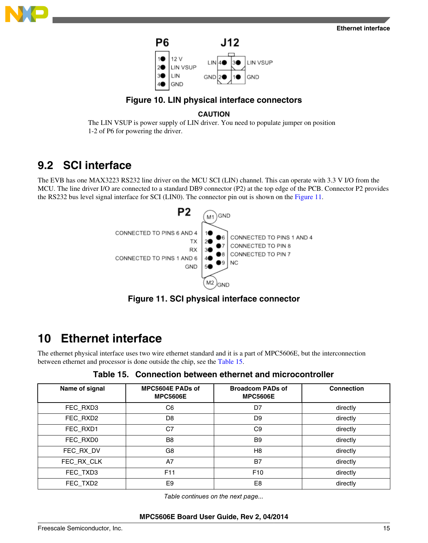<span id="page-14-0"></span>



## **Figure 10. LIN physical interface connectors**

### **CAUTION**

The LIN VSUP is power supply of LIN driver. You need to populate jumper on position 1-2 of P6 for powering the driver.

## **9.2 SCI interface**

The EVB has one MAX3223 RS232 line driver on the MCU SCI (LIN) channel. This can operate with 3.3 V I/O from the MCU. The line driver I/O are connected to a standard DB9 connector (P2) at the top edge of the PCB. Connector P2 provides the RS232 bus level signal interface for SCI (LIN0). The connector pin out is shown on the Figure 11.



**Figure 11. SCI physical interface connector**

## **10 Ethernet interface**

The ethernet physical interface uses two wire ethernet standard and it is a part of MPC5606E, but the interconnection between ethernet and processor is done outside the chip, see the Table 15.

**Table 15. Connection between ethernet and microcontroller**

| Name of signal | MPC5604E PADs of<br><b>MPC5606E</b> | <b>Broadcom PADs of</b><br><b>MPC5606E</b> | <b>Connection</b> |
|----------------|-------------------------------------|--------------------------------------------|-------------------|
| FEC_RXD3       | C <sub>6</sub>                      | D7                                         | directly          |
| FEC_RXD2       | D <sub>8</sub>                      | D <sub>9</sub>                             | directly          |
| FEC RXD1       | C7                                  | C <sub>9</sub>                             | directly          |
| FEC_RXD0       | B <sub>8</sub>                      | B <sub>9</sub>                             | directly          |
| FEC RX DV      | G8                                  | H <sub>8</sub>                             | directly          |
| FEC_RX_CLK     | A7                                  | <b>B7</b>                                  | directly          |
| FEC_TXD3       | F <sub>11</sub>                     | F <sub>10</sub>                            | directly          |
| FEC TXD2       | E <sub>9</sub>                      | E <sub>8</sub>                             | directly          |

*Table continues on the next page...*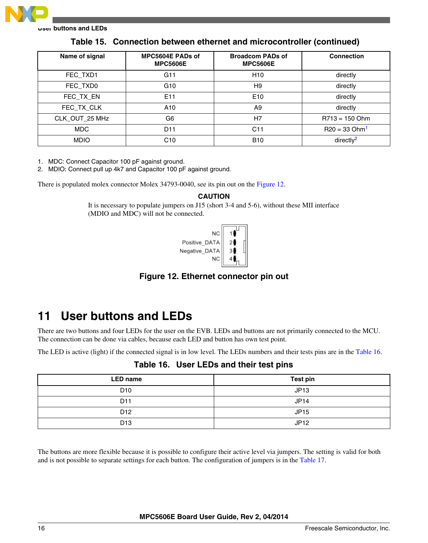<span id="page-15-0"></span>

| Name of signal | MPC5604E PADs of<br><b>MPC5606E</b> | <b>Broadcom PADs of</b><br><b>MPC5606E</b> | <b>Connection</b>           |
|----------------|-------------------------------------|--------------------------------------------|-----------------------------|
| FEC TXD1       | G11                                 | H <sub>10</sub>                            | directly                    |
| FEC_TXD0       | G <sub>10</sub>                     | H <sub>9</sub>                             | directly                    |
| FEC_TX_EN      | E11                                 | E <sub>10</sub>                            | directly                    |
| FEC TX CLK     | A10                                 | A <sub>9</sub>                             | directly                    |
| CLK_OUT_25 MHz | G <sub>6</sub>                      | H7                                         | $R713 = 150$ Ohm            |
| MDC            | D <sub>11</sub>                     | C11                                        | $R20 = 33$ Ohm <sup>1</sup> |
| <b>MDIO</b>    | C10                                 | <b>B10</b>                                 | directly <sup>2</sup>       |

**Table 15. Connection between ethernet and microcontroller (continued)**

1. MDC: Connect Capacitor 100 pF against ground.

2. MDIO: Connect pull up 4k7 and Capacitor 100 pF against ground.

There is populated molex connector Molex 34793-0040, see its pin out on the Figure 12.

#### **CAUTION**

It is necessary to populate jumpers on J15 (short 3-4 and 5-6), without these MII interface (MDIO and MDC) will not be connected.



**Figure 12. Ethernet connector pin out**

## **11 User buttons and LEDs**

There are two buttons and four LEDs for the user on the EVB. LEDs and buttons are not primarily connected to the MCU. The connection can be done via cables, because each LED and button has own test point.

The LED is active (light) if the connected signal is in low level. The LEDs numbers and their tests pins are in the Table 16.

| <b>LED name</b> | <b>Test pin</b> |
|-----------------|-----------------|
| D <sub>10</sub> | JP13            |
| D <sub>11</sub> | JP14            |
| D <sub>12</sub> | <b>JP15</b>     |
| D <sub>13</sub> | JP12            |

**Table 16. User LEDs and their test pins**

The buttons are more flexible because it is possible to configure their active level via jumpers. The setting is valid for both and is not possible to separate settings for each button. The configuration of jumpers is in the [Table 17](#page-16-0).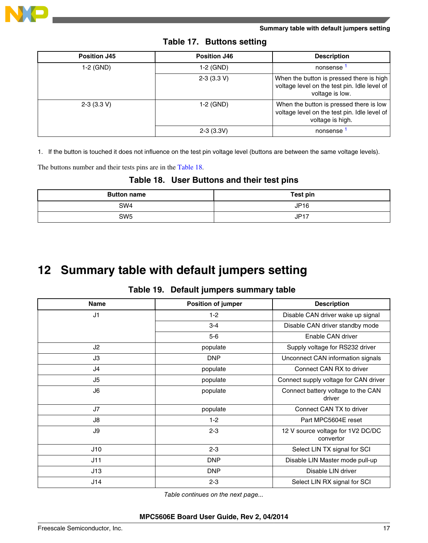<span id="page-16-0"></span>

| <b>Position J45</b> | <b>Position J46</b> | <b>Description</b>                                                                                          |
|---------------------|---------------------|-------------------------------------------------------------------------------------------------------------|
| 1-2 (GND)           | 1-2 (GND)           | nonsense                                                                                                    |
|                     | $2-3$ (3.3 V)       | When the button is pressed there is high<br>voltage level on the test pin. Idle level of<br>voltage is low. |
| $2-3(3.3 V)$        | 1-2 (GND)           | When the button is pressed there is low<br>voltage level on the test pin. Idle level of<br>voltage is high. |
|                     | $2-3(3.3V)$         | nonsense                                                                                                    |

1. If the button is touched it does not influence on the test pin voltage level (buttons are between the same voltage levels).

The buttons number and their tests pins are in the Table 18.

### **Table 18. User Buttons and their test pins**

| <b>Button name</b> | Test pin    |
|--------------------|-------------|
| SW <sub>4</sub>    | <b>JP16</b> |
| SW <sub>5</sub>    | <b>JP17</b> |

## **12 Summary table with default jumpers setting**

### **Table 19. Default jumpers summary table**

| <b>Name</b> | Position of jumper | <b>Description</b>                             |
|-------------|--------------------|------------------------------------------------|
| J1          | $1 - 2$            | Disable CAN driver wake up signal              |
|             | $3 - 4$            | Disable CAN driver standby mode                |
|             | $5-6$              | Enable CAN driver                              |
| J2          | populate           | Supply voltage for RS232 driver                |
| JЗ          | <b>DNP</b>         | Unconnect CAN information signals              |
| J4          | populate           | Connect CAN RX to driver                       |
| J5          | populate           | Connect supply voltage for CAN driver          |
| J6          | populate           | Connect battery voltage to the CAN<br>driver   |
| J7          | populate           | Connect CAN TX to driver                       |
| J8          | $1 - 2$            | Part MPC5604E reset                            |
| J9          | $2 - 3$            | 12 V source voltage for 1V2 DC/DC<br>convertor |
| J10         | $2 - 3$            | Select LIN TX signal for SCI                   |
| J11         | <b>DNP</b>         | Disable LIN Master mode pull-up                |
| J13         | <b>DNP</b>         | Disable LIN driver                             |
| J14         | $2 - 3$            | Select LIN RX signal for SCI                   |

*Table continues on the next page...*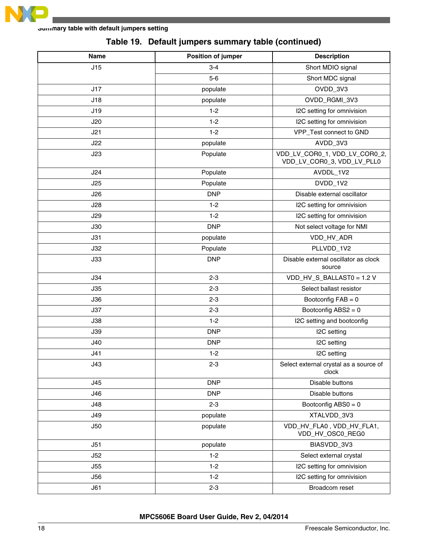

| Name       | Position of jumper | <b>Description</b>                                          |
|------------|--------------------|-------------------------------------------------------------|
| J15        | $3 - 4$            | Short MDIO signal                                           |
|            | $5-6$              | Short MDC signal                                            |
| J17        | populate           | OVDD_3V3                                                    |
| J18        | populate           | OVDD_RGMI_3V3                                               |
| J19        | $1 - 2$            | I2C setting for omnivision                                  |
| J20        | $1 - 2$            | I2C setting for omnivision                                  |
| J21        | $1 - 2$            | VPP_Test connect to GND                                     |
| J22        | populate           | AVDD_3V3                                                    |
| J23        | Populate           | VDD_LV_COR0_1, VDD_LV_COR0_2,<br>VDD_LV_COR0_3, VDD_LV_PLL0 |
| J24        | Populate           | AVDDL_1V2                                                   |
| J25        | Populate           | DVDD_1V2                                                    |
| J26        | <b>DNP</b>         | Disable external oscillator                                 |
| J28        | $1 - 2$            | I2C setting for omnivision                                  |
| J29        | $1 - 2$            | I2C setting for omnivision                                  |
| J30        | <b>DNP</b>         | Not select voltage for NMI                                  |
| J31        | populate           | VDD_HV_ADR                                                  |
| J32        | Populate           | PLLVDD_1V2                                                  |
| J33        | <b>DNP</b>         | Disable external oscillator as clock<br>source              |
| J34        | $2 - 3$            | VDD_HV_S_BALLAST0 = 1.2 V                                   |
| J35        | $2 - 3$            | Select ballast resistor                                     |
| J36        | $2 - 3$            | Bootconfig $FAB = 0$                                        |
| J37        | $2 - 3$            | Bootconfig ABS2 = 0                                         |
| J38        | $1 - 2$            | I2C setting and bootconfig                                  |
| J39        | <b>DNP</b>         | I2C setting                                                 |
| J40        | <b>DNP</b>         | I2C setting                                                 |
| J41        | $1 - 2$            | I2C setting                                                 |
| J43        | $2 - 3$            | Select external crystal as a source of<br>clock             |
| J45        | <b>DNP</b>         | Disable buttons                                             |
| J46        | <b>DNP</b>         | Disable buttons                                             |
| J48        | $2 - 3$            | Bootconfig $ABS0 = 0$                                       |
| <b>J49</b> | populate           | XTALVDD_3V3                                                 |
| J50        | populate           | VDD_HV_FLA0, VDD_HV_FLA1,<br>VDD_HV_OSC0_REG0               |
| J51        | populate           | BIASVDD_3V3                                                 |
| J52        | $1 - 2$            | Select external crystal                                     |
| J55        | $1 - 2$            | I2C setting for omnivision                                  |
| J56        | $1 - 2$            | I2C setting for omnivision                                  |
| J61        | $2 - 3$            | Broadcom reset                                              |

## **Table 19. Default jumpers summary table (continued)**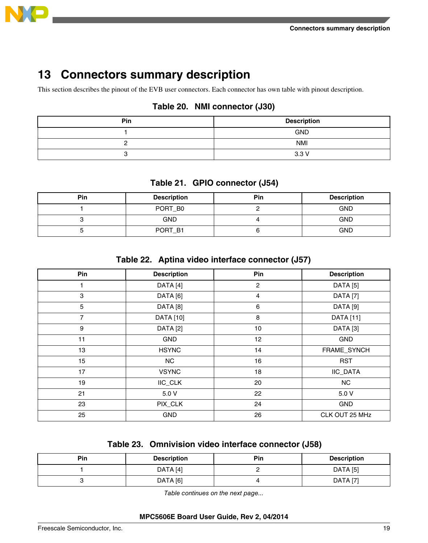<span id="page-18-0"></span>

## **Connectors summary description**

This section describes the pinout of the EVB user connectors. Each connector has own table with pinout description.

## **Table 20. NMI connector (J30)**

| Pin | <b>Description</b> |
|-----|--------------------|
|     | <b>GND</b>         |
|     | <b>NMI</b>         |
|     | 3.3V               |

## **Table 21. GPIO connector (J54)**

| <b>Pin</b> | <b>Description</b> | <b>Pin</b> | <b>Description</b> |
|------------|--------------------|------------|--------------------|
|            | PORT_B0            |            | <b>GND</b>         |
|            | <b>GND</b>         |            | <b>GND</b>         |
|            | PORT_B1            |            | <b>GND</b>         |

### **Table 22. Aptina video interface connector (J57)**

| Pin            | <b>Description</b>  | Pin            | <b>Description</b>  |
|----------------|---------------------|----------------|---------------------|
|                | DATA [4]            | $\overline{c}$ | <b>DATA</b> [5]     |
| 3              | DATA [6]            | $\overline{4}$ | DATA <sub>[7]</sub> |
| 5              | DATA <sub>[8]</sub> | 6              | DATA <sub>[9]</sub> |
| $\overline{7}$ | <b>DATA</b> [10]    | 8              | <b>DATA</b> [11]    |
| 9              | DATA [2]            | 10             | DATA <sub>[3]</sub> |
| 11             | <b>GND</b>          | 12             | <b>GND</b>          |
| 13             | <b>HSYNC</b>        | 14             | FRAME_SYNCH         |
| 15             | <b>NC</b>           | 16             | <b>RST</b>          |
| 17             | <b>VSYNC</b>        | 18             | IIC_DATA            |
| 19             | <b>IIC_CLK</b>      | 20             | <b>NC</b>           |
| 21             | 5.0 V               | 22             | 5.0 V               |
| 23             | PIX_CLK             | 24             | <b>GND</b>          |
| 25             | <b>GND</b>          | 26             | CLK OUT 25 MHz      |

### **Table 23. Omnivision video interface connector (J58)**

| <b>Pin</b> | <b>Description</b> | <b>Pin</b> | <b>Description</b> |
|------------|--------------------|------------|--------------------|
|            | DATA [4]           |            | DATA [5]           |
|            | DATA [6]           |            | DATA [7]           |

*Table continues on the next page...*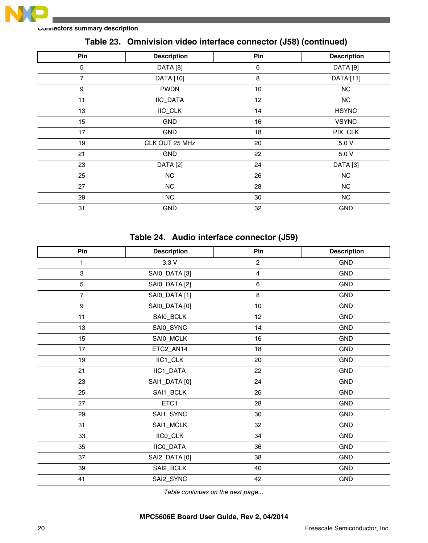

#### **Connectors summary description**

| Pin            | <b>Description</b> | Pin | <b>Description</b> |
|----------------|--------------------|-----|--------------------|
| 5              | DATA [8]           | 6   | DATA [9]           |
| $\overline{7}$ | <b>DATA</b> [10]   | 8   | <b>DATA</b> [11]   |
| 9              | <b>PWDN</b>        | 10  | <b>NC</b>          |
| 11             | IIC_DATA           | 12  | NC                 |
| 13             | IIC_CLK            | 14  | <b>HSYNC</b>       |
| 15             | GND                | 16  | <b>VSYNC</b>       |
| 17             | GND                | 18  | PIX_CLK            |
| 19             | CLK OUT 25 MHz     | 20  | 5.0 V              |
| 21             | <b>GND</b>         | 22  | 5.0 V              |
| 23             | DATA [2]           | 24  | DATA [3]           |
| 25             | NC                 | 26  | <b>NC</b>          |
| 27             | NC                 | 28  | <b>NC</b>          |
| 29             | NC                 | 30  | <b>NC</b>          |
| 31             | <b>GND</b>         | 32  | <b>GND</b>         |

### **Table 23. Omnivision video interface connector (J58) (continued)**

## **Table 24. Audio interface connector (J59)**

| Pin            | <b>Description</b> | Pin                     | <b>Description</b> |
|----------------|--------------------|-------------------------|--------------------|
| $\mathbf{1}$   | 3.3V               | $\overline{c}$          | GND                |
| 3              | SAI0_DATA [3]      | $\overline{\mathbf{4}}$ | <b>GND</b>         |
| 5              | SAI0_DATA [2]      | $\,6\,$                 | <b>GND</b>         |
| $\overline{7}$ | SAI0_DATA [1]      | 8                       | <b>GND</b>         |
| 9              | SAI0_DATA [0]      | 10                      | <b>GND</b>         |
| 11             | SAI0_BCLK          | 12                      | <b>GND</b>         |
| 13             | SAI0_SYNC          | 14                      | GND                |
| 15             | SAI0_MCLK          | 16                      | <b>GND</b>         |
| 17             | ETC2_AN14          | 18                      | <b>GND</b>         |
| 19             | IIC1_CLK           | 20                      | GND                |
| 21             | IIC1_DATA          | 22                      | <b>GND</b>         |
| 23             | SAI1_DATA [0]      | 24                      | <b>GND</b>         |
| 25             | SAI1_BCLK          | 26                      | GND                |
| 27             | ETC1               | 28                      | <b>GND</b>         |
| 29             | SAI1_SYNC          | 30                      | <b>GND</b>         |
| 31             | SAI1_MCLK          | 32                      | GND                |
| 33             | IICO_CLK           | 34                      | <b>GND</b>         |
| 35             | IICO_DATA          | 36                      | <b>GND</b>         |
| 37             | SAI2_DATA [0]      | 38                      | <b>GND</b>         |
| 39             | SAI2_BCLK          | 40                      | <b>GND</b>         |
| 41             | SAI2_SYNC          | 42                      | <b>GND</b>         |

*Table continues on the next page...*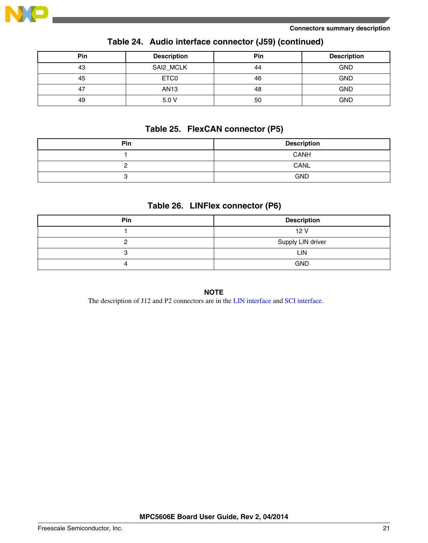

| <b>Pin</b> | <b>Description</b> | Pin | <b>Description</b> |
|------------|--------------------|-----|--------------------|
| 43         | SAI2_MCLK          | 44  | <b>GND</b>         |
| 45         | ETC <sub>0</sub>   | 46  | <b>GND</b>         |
| 47         | <b>AN13</b>        | 48  | <b>GND</b>         |
| 49         | 5.0V               | 50  | <b>GND</b>         |

### **Table 24. Audio interface connector (J59) (continued)**

## **Table 25. FlexCAN connector (P5)**

| Pin | <b>Description</b> |
|-----|--------------------|
|     | CANH               |
|     | CANL               |
| v   | <b>GND</b>         |

### **Table 26. LINFlex connector (P6)**

| Pin | <b>Description</b> |
|-----|--------------------|
|     | 12V                |
|     | Supply LIN driver  |
|     | LIN                |
|     | <b>GND</b>         |

#### **NOTE**

The description of J12 and P2 connectors are in the [LIN interface](#page-13-0) and [SCI interface](#page-14-0).